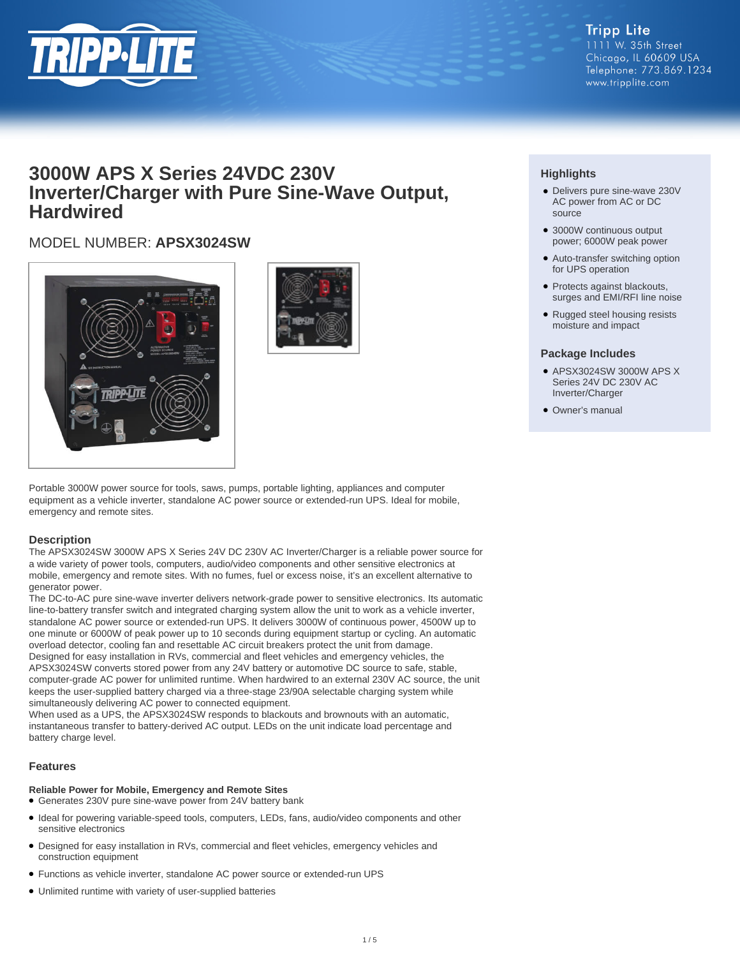

## **3000W APS X Series 24VDC 230V Inverter/Charger with Pure Sine-Wave Output, Hardwired**

## MODEL NUMBER: **APSX3024SW**





Portable 3000W power source for tools, saws, pumps, portable lighting, appliances and computer equipment as a vehicle inverter, standalone AC power source or extended-run UPS. Ideal for mobile, emergency and remote sites.

#### **Description**

The APSX3024SW 3000W APS X Series 24V DC 230V AC Inverter/Charger is a reliable power source for a wide variety of power tools, computers, audio/video components and other sensitive electronics at mobile, emergency and remote sites. With no fumes, fuel or excess noise, it's an excellent alternative to generator power.

The DC-to-AC pure sine-wave inverter delivers network-grade power to sensitive electronics. Its automatic line-to-battery transfer switch and integrated charging system allow the unit to work as a vehicle inverter, standalone AC power source or extended-run UPS. It delivers 3000W of continuous power, 4500W up to one minute or 6000W of peak power up to 10 seconds during equipment startup or cycling. An automatic overload detector, cooling fan and resettable AC circuit breakers protect the unit from damage. Designed for easy installation in RVs, commercial and fleet vehicles and emergency vehicles, the APSX3024SW converts stored power from any 24V battery or automotive DC source to safe, stable, computer-grade AC power for unlimited runtime. When hardwired to an external 230V AC source, the unit keeps the user-supplied battery charged via a three-stage 23/90A selectable charging system while simultaneously delivering AC power to connected equipment.

When used as a UPS, the APSX3024SW responds to blackouts and brownouts with an automatic, instantaneous transfer to battery-derived AC output. LEDs on the unit indicate load percentage and battery charge level.

#### **Features**

#### **Reliable Power for Mobile, Emergency and Remote Sites**

- Generates 230V pure sine-wave power from 24V battery bank
- Ideal for powering variable-speed tools, computers, LEDs, fans, audio/video components and other sensitive electronics
- Designed for easy installation in RVs, commercial and fleet vehicles, emergency vehicles and construction equipment
- Functions as vehicle inverter, standalone AC power source or extended-run UPS
- Unlimited runtime with variety of user-supplied batteries

### **Highlights**

- Delivers pure sine-wave 230V AC power from AC or DC source
- 3000W continuous output power; 6000W peak power
- Auto-transfer switching option for UPS operation
- Protects against blackouts, surges and EMI/RFI line noise
- Rugged steel housing resists moisture and impact

#### **Package Includes**

- APSX3024SW 3000W APS X Series 24V DC 230V AC Inverter/Charger
- Owner's manual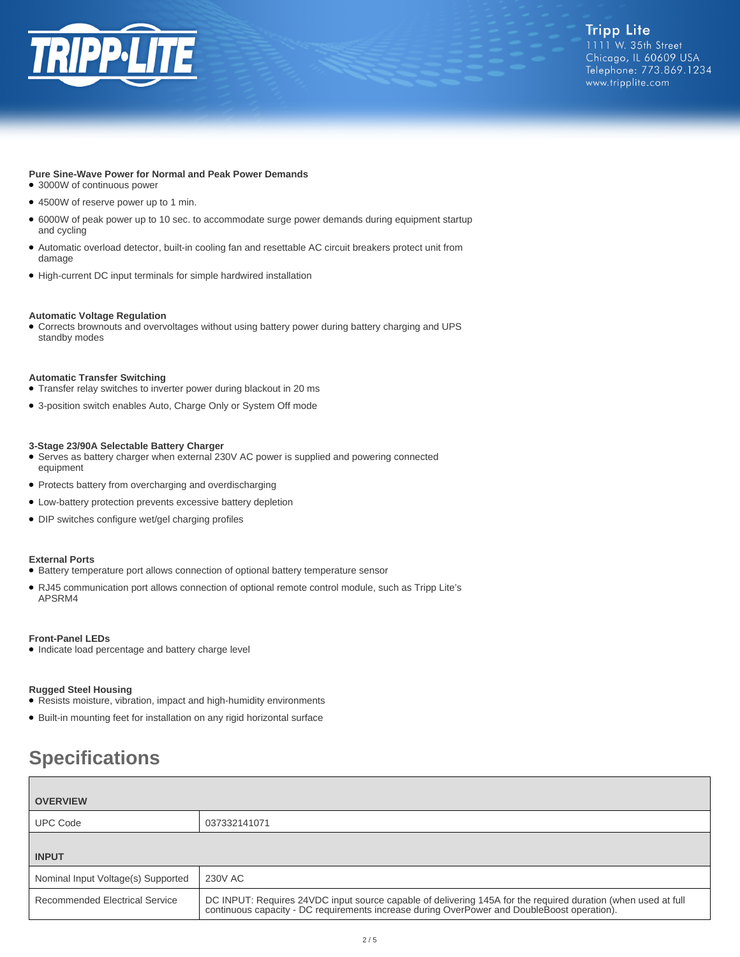

#### **Pure Sine-Wave Power for Normal and Peak Power Demands**

- 3000W of continuous power
- 4500W of reserve power up to 1 min.
- 6000W of peak power up to 10 sec. to accommodate surge power demands during equipment startup and cycling
- Automatic overload detector, built-in cooling fan and resettable AC circuit breakers protect unit from damage
- High-current DC input terminals for simple hardwired installation

#### **Automatic Voltage Regulation**

● Corrects brownouts and overvoltages without using battery power during battery charging and UPS standby modes

#### **Automatic Transfer Switching**

- Transfer relay switches to inverter power during blackout in 20 ms
- 3-position switch enables Auto, Charge Only or System Off mode

#### **3-Stage 23/90A Selectable Battery Charger**

- Serves as battery charger when external 230V AC power is supplied and powering connected equipment
- Protects battery from overcharging and overdischarging
- Low-battery protection prevents excessive battery depletion
- DIP switches configure wet/gel charging profiles

#### **External Ports**

- Battery temperature port allows connection of optional battery temperature sensor
- RJ45 communication port allows connection of optional remote control module, such as Tripp Lite's APSRM4

#### **Front-Panel LEDs**

● Indicate load percentage and battery charge level

#### **Rugged Steel Housing**

- Resists moisture, vibration, impact and high-humidity environments
- Built-in mounting feet for installation on any rigid horizontal surface

# **Specifications**

| <b>OVERVIEW</b>                    |                                                                                                                                                                                                           |
|------------------------------------|-----------------------------------------------------------------------------------------------------------------------------------------------------------------------------------------------------------|
| <b>UPC Code</b>                    | 037332141071                                                                                                                                                                                              |
| <b>INPUT</b>                       |                                                                                                                                                                                                           |
| Nominal Input Voltage(s) Supported | 230V AC                                                                                                                                                                                                   |
| Recommended Electrical Service     | DC INPUT: Requires 24VDC input source capable of delivering 145A for the required duration (when used at full continuous capacity - DC requirements increase during OverPower and DoubleBoost operation). |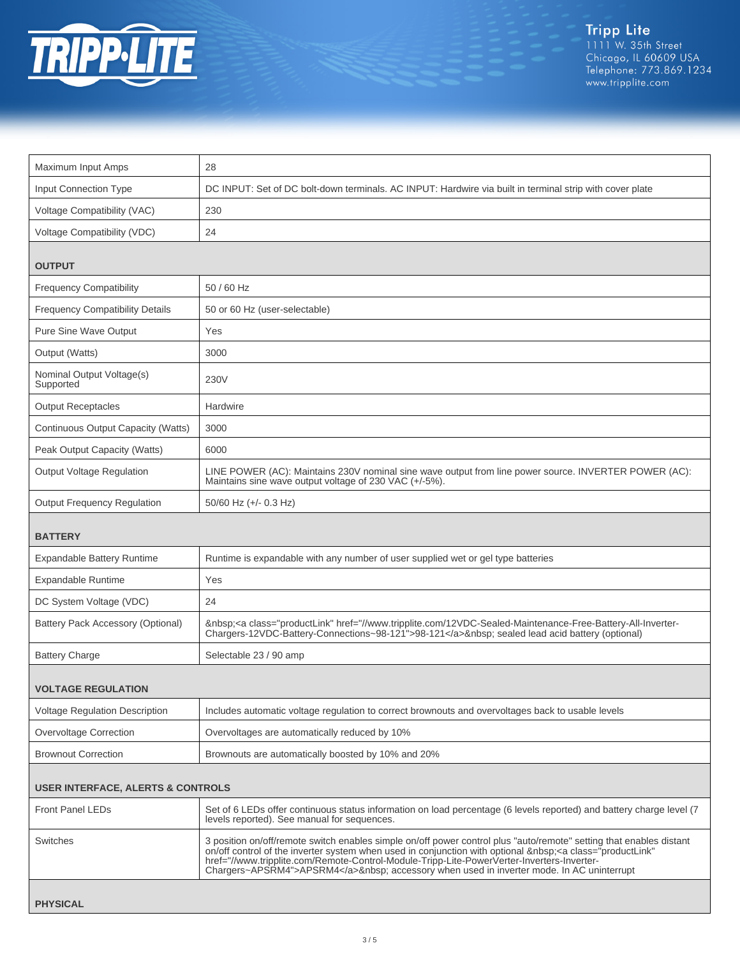

 $\mathbf{L}$ 

| Maximum Input Amps                           | 28                                                                                                                                                                                                                                                                                                                                                                                                              |  |
|----------------------------------------------|-----------------------------------------------------------------------------------------------------------------------------------------------------------------------------------------------------------------------------------------------------------------------------------------------------------------------------------------------------------------------------------------------------------------|--|
| <b>Input Connection Type</b>                 | DC INPUT: Set of DC bolt-down terminals. AC INPUT: Hardwire via built in terminal strip with cover plate                                                                                                                                                                                                                                                                                                        |  |
| Voltage Compatibility (VAC)                  | 230                                                                                                                                                                                                                                                                                                                                                                                                             |  |
| Voltage Compatibility (VDC)                  | 24                                                                                                                                                                                                                                                                                                                                                                                                              |  |
| <b>OUTPUT</b>                                |                                                                                                                                                                                                                                                                                                                                                                                                                 |  |
|                                              |                                                                                                                                                                                                                                                                                                                                                                                                                 |  |
| <b>Frequency Compatibility</b>               | 50 / 60 Hz                                                                                                                                                                                                                                                                                                                                                                                                      |  |
| <b>Frequency Compatibility Details</b>       | 50 or 60 Hz (user-selectable)                                                                                                                                                                                                                                                                                                                                                                                   |  |
| Pure Sine Wave Output                        | Yes                                                                                                                                                                                                                                                                                                                                                                                                             |  |
| Output (Watts)                               | 3000                                                                                                                                                                                                                                                                                                                                                                                                            |  |
| Nominal Output Voltage(s)<br>Supported       | 230V                                                                                                                                                                                                                                                                                                                                                                                                            |  |
| <b>Output Receptacles</b>                    | Hardwire                                                                                                                                                                                                                                                                                                                                                                                                        |  |
| Continuous Output Capacity (Watts)           | 3000                                                                                                                                                                                                                                                                                                                                                                                                            |  |
| Peak Output Capacity (Watts)                 | 6000                                                                                                                                                                                                                                                                                                                                                                                                            |  |
| Output Voltage Regulation                    | LINE POWER (AC): Maintains 230V nominal sine wave output from line power source. INVERTER POWER (AC):<br>Maintains sine wave output voltage of 230 VAC (+/-5%).                                                                                                                                                                                                                                                 |  |
| <b>Output Frequency Regulation</b>           | $50/60$ Hz (+/- 0.3 Hz)                                                                                                                                                                                                                                                                                                                                                                                         |  |
| <b>BATTERY</b>                               |                                                                                                                                                                                                                                                                                                                                                                                                                 |  |
| <b>Expandable Battery Runtime</b>            | Runtime is expandable with any number of user supplied wet or gel type batteries                                                                                                                                                                                                                                                                                                                                |  |
| <b>Expandable Runtime</b>                    | Yes                                                                                                                                                                                                                                                                                                                                                                                                             |  |
| DC System Voltage (VDC)                      | 24                                                                                                                                                                                                                                                                                                                                                                                                              |  |
| Battery Pack Accessory (Optional)            | <a class="productLink" href="//www.tripplite.com/12VDC-Sealed-Maintenance-Free-Battery-All-Inverter-&lt;br&gt;Chargers-12VDC-Battery-Connections~98-121">98-121</a> sealed lead acid battery (optional)                                                                                                                                                                                                         |  |
| <b>Battery Charge</b>                        | Selectable 23 / 90 amp                                                                                                                                                                                                                                                                                                                                                                                          |  |
| <b>VOLTAGE REGULATION</b>                    |                                                                                                                                                                                                                                                                                                                                                                                                                 |  |
| <b>Voltage Regulation Description</b>        | Includes automatic voltage regulation to correct brownouts and overvoltages back to usable levels                                                                                                                                                                                                                                                                                                               |  |
| Overvoltage Correction                       | Overvoltages are automatically reduced by 10%                                                                                                                                                                                                                                                                                                                                                                   |  |
| <b>Brownout Correction</b>                   | Brownouts are automatically boosted by 10% and 20%                                                                                                                                                                                                                                                                                                                                                              |  |
| <b>USER INTERFACE, ALERTS &amp; CONTROLS</b> |                                                                                                                                                                                                                                                                                                                                                                                                                 |  |
| <b>Front Panel LEDs</b>                      | Set of 6 LEDs offer continuous status information on load percentage (6 levels reported) and battery charge level (7<br>levels reported). See manual for sequences.                                                                                                                                                                                                                                             |  |
| Switches                                     | 3 position on/off/remote switch enables simple on/off power control plus "auto/remote" setting that enables distant<br>on/off control of the inverter system when used in conjunction with optional   < a class="productLink"<br>href="//www.tripplite.com/Remote-Control-Module-Tripp-Lite-PowerVerter-Inverters-Inverter-<br>Chargers~APSRM4">APSRM4  accessory when used in inverter mode. In AC uninterrupt |  |
| <b>PHYSICAL</b>                              |                                                                                                                                                                                                                                                                                                                                                                                                                 |  |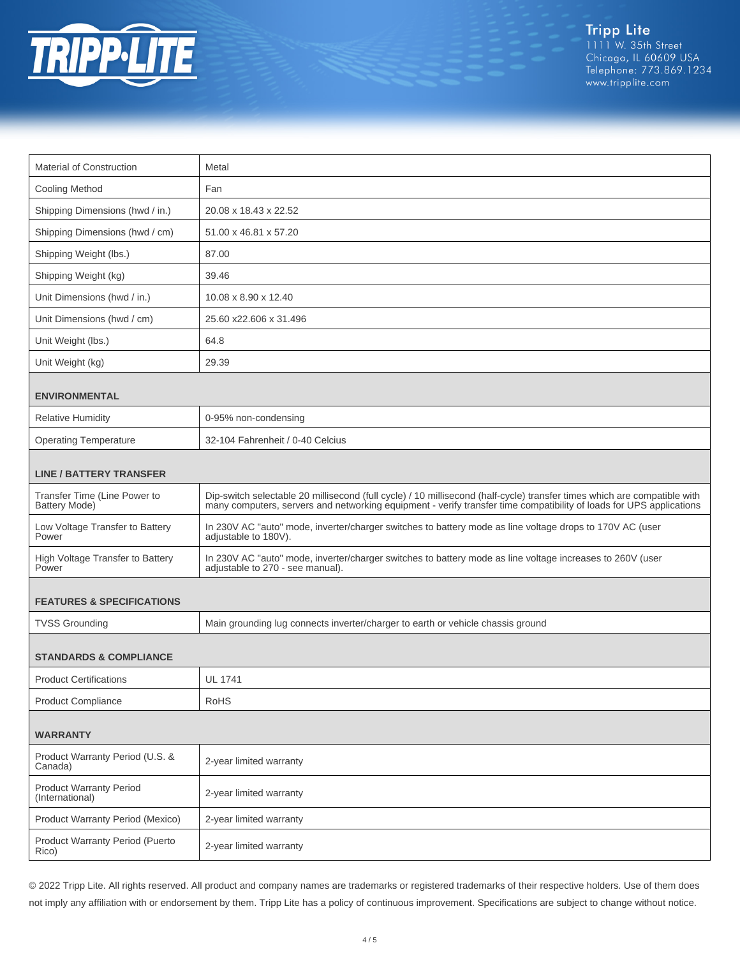

Tripp Lite<br>1111 W. 35th Street<br>Chicago, IL 60609 USA Telephone: 773.869.1234 www.tripplite.com

| Material of Construction                             | Metal                                                                                                                                                                                                                                           |  |
|------------------------------------------------------|-------------------------------------------------------------------------------------------------------------------------------------------------------------------------------------------------------------------------------------------------|--|
| <b>Cooling Method</b>                                | Fan                                                                                                                                                                                                                                             |  |
| Shipping Dimensions (hwd / in.)                      | 20.08 x 18.43 x 22.52                                                                                                                                                                                                                           |  |
| Shipping Dimensions (hwd / cm)                       | 51.00 x 46.81 x 57.20                                                                                                                                                                                                                           |  |
| Shipping Weight (lbs.)                               | 87.00                                                                                                                                                                                                                                           |  |
| Shipping Weight (kg)                                 | 39.46                                                                                                                                                                                                                                           |  |
| Unit Dimensions (hwd / in.)                          | 10.08 x 8.90 x 12.40                                                                                                                                                                                                                            |  |
| Unit Dimensions (hwd / cm)                           | 25.60 x22.606 x 31.496                                                                                                                                                                                                                          |  |
| Unit Weight (lbs.)                                   | 64.8                                                                                                                                                                                                                                            |  |
| Unit Weight (kg)                                     | 29.39                                                                                                                                                                                                                                           |  |
| <b>ENVIRONMENTAL</b>                                 |                                                                                                                                                                                                                                                 |  |
| <b>Relative Humidity</b>                             | 0-95% non-condensing                                                                                                                                                                                                                            |  |
| <b>Operating Temperature</b>                         | 32-104 Fahrenheit / 0-40 Celcius                                                                                                                                                                                                                |  |
| <b>LINE / BATTERY TRANSFER</b>                       |                                                                                                                                                                                                                                                 |  |
| Transfer Time (Line Power to<br><b>Battery Mode)</b> | Dip-switch selectable 20 millisecond (full cycle) / 10 millisecond (half-cycle) transfer times which are compatible with<br>many computers, servers and networking equipment - verify transfer time compatibility of loads for UPS applications |  |
| Low Voltage Transfer to Battery<br>Power             | In 230V AC "auto" mode, inverter/charger switches to battery mode as line voltage drops to 170V AC (user<br>adjustable to 180V).                                                                                                                |  |
| High Voltage Transfer to Battery<br>Power            | In 230V AC "auto" mode, inverter/charger switches to battery mode as line voltage increases to 260V (user<br>adjustable to 270 - see manual).                                                                                                   |  |
| <b>FEATURES &amp; SPECIFICATIONS</b>                 |                                                                                                                                                                                                                                                 |  |
| <b>TVSS Grounding</b>                                | Main grounding lug connects inverter/charger to earth or vehicle chassis ground                                                                                                                                                                 |  |
| <b>STANDARDS &amp; COMPLIANCE</b>                    |                                                                                                                                                                                                                                                 |  |
| <b>Product Certifications</b>                        | <b>UL 1741</b>                                                                                                                                                                                                                                  |  |
| <b>Product Compliance</b>                            | <b>RoHS</b>                                                                                                                                                                                                                                     |  |
| <b>WARRANTY</b>                                      |                                                                                                                                                                                                                                                 |  |
| Product Warranty Period (U.S. &<br>Canada)           | 2-year limited warranty                                                                                                                                                                                                                         |  |
| <b>Product Warranty Period</b><br>(International)    | 2-year limited warranty                                                                                                                                                                                                                         |  |
| Product Warranty Period (Mexico)                     | 2-year limited warranty                                                                                                                                                                                                                         |  |
| Product Warranty Period (Puerto<br>Rico)             | 2-year limited warranty                                                                                                                                                                                                                         |  |

© 2022 Tripp Lite. All rights reserved. All product and company names are trademarks or registered trademarks of their respective holders. Use of them does not imply any affiliation with or endorsement by them. Tripp Lite has a policy of continuous improvement. Specifications are subject to change without notice.